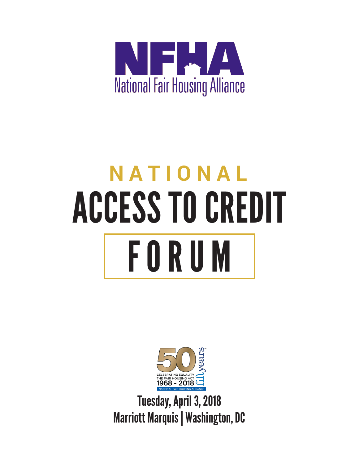

# **NATIONAL** ACCESS TO CREDIT FORUM



Tuesday, April 3, 2018 Marriott Marquis | Washington, DC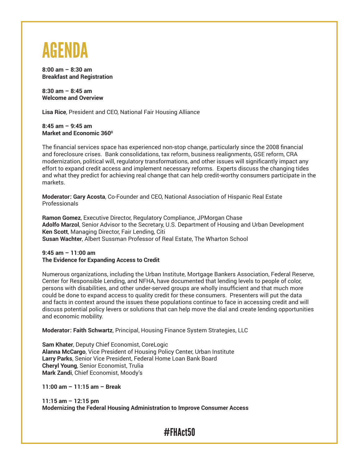

**8:00 am – 8:30 am Breakfast and Registration**

**8:30 am – 8:45 am Welcome and Overview**

**Lisa Rice**, President and CEO, National Fair Housing Alliance

**8:45 am – 9:45 am Market and Economic 360<sup>°</sup>** 

The financial services space has experienced non-stop change, particularly since the 2008 financial and foreclosure crises. Bank consolidations, tax reform, business realignments, GSE reform, CRA modernization, political will, regulatory transformations, and other issues will significantly impact any effort to expand credit access and implement necessary reforms. Experts discuss the changing tides and what they predict for achieving real change that can help credit-worthy consumers participate in the markets.

**Moderator: Gary Acosta**, Co-Founder and CEO, National Association of Hispanic Real Estate Professionals

**Ramon Gomez**, Executive Director, Regulatory Compliance, JPMorgan Chase **Adolfo Marzol**, Senior Advisor to the Secretary, U.S. Department of Housing and Urban Development **Ken Scott**, Managing Director, Fair Lending, Citi **Susan Wachter**, Albert Sussman Professor of Real Estate, The Wharton School

#### **9:45 am – 11:00 am The Evidence for Expanding Access to Credit**

Numerous organizations, including the Urban Institute, Mortgage Bankers Association, Federal Reserve, Center for Responsible Lending, and NFHA, have documented that lending levels to people of color, persons with disabilities, and other under-served groups are wholly insufficient and that much more could be done to expand access to quality credit for these consumers. Presenters will put the data and facts in context around the issues these populations continue to face in accessing credit and will discuss potential policy levers or solutions that can help move the dial and create lending opportunities and economic mobility.

**Moderator: Faith Schwartz**, Principal, Housing Finance System Strategies, LLC

**Sam Khater**, Deputy Chief Economist, CoreLogic **Alanna McCargo**, Vice President of Housing Policy Center, Urban Institute **Larry Parks**, Senior Vice President, Federal Home Loan Bank Board **Cheryl Young**, Senior Economist, Trulia **Mark Zandi**, Chief Economist, Moody's

**11:00 am – 11:15 am – Break**

**11:15 am – 12:15 pm Modernizing the Federal Housing Administration to Improve Consumer Access**

## #FHAct50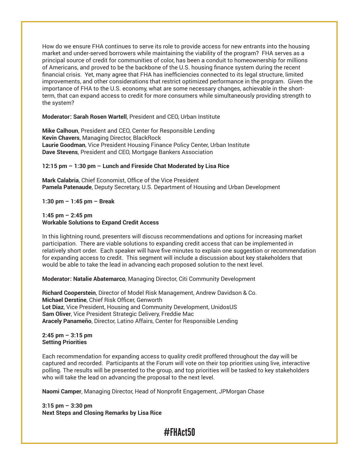How do we ensure FHA continues to serve its role to provide access for new entrants into the housing market and under-served borrowers while maintaining the viability of the program? FHA serves as a principal source of credit for communities of color, has been a conduit to homeownership for millions of Americans, and proved to be the backbone of the U.S. housing finance system during the recent financial crisis. Yet, many agree that FHA has inefficiencies connected to its legal structure, limited improvements, and other considerations that restrict optimized performance in the program. Given the importance of FHA to the U.S. economy, what are some necessary changes, achievable in the shortterm, that can expand access to credit for more consumers while simultaneously providing strength to the system?

#### **Moderator: Sarah Rosen Wartell**, President and CEO, Urban Institute

**Mike Calhoun**, President and CEO, Center for Responsible Lending **Kevin Chavers**, Managing Director, BlackRock **Laurie Goodman**, Vice President Housing Finance Policy Center, Urban Institute **Dave Stevens**, President and CEO, Mortgage Bankers Association

#### **12:15 pm – 1:30 pm – Lunch and Fireside Chat Moderated by Lisa Rice**

**Mark Calabria**, Chief Economist, Office of the Vice President **Pamela Patenaude**, Deputy Secretary, U.S. Department of Housing and Urban Development

**1:30 pm – 1:45 pm – Break**

#### **1:45 pm – 2:45 pm Workable Solutions to Expand Credit Access**

In this lightning round, presenters will discuss recommendations and options for increasing market participation. There are viable solutions to expanding credit access that can be implemented in relatively short order. Each speaker will have five minutes to explain one suggestion or recommendation for expanding access to credit. This segment will include a discussion about key stakeholders that would be able to take the lead in advancing each proposed solution to the next level.

**Moderator: Natalie Abatemarco**, Managing Director, Citi Community Development

**Richard Cooperstein**, Director of Model Risk Management, Andrew Davidson & Co. **Michael Derstine**, Chief Risk Officer, Genworth **Lot Diaz**, Vice President, Housing and Community Development, UnidosUS **Sam Oliver**, Vice President Strategic Delivery, Freddie Mac **Aracely Panameño**, Director, Latino Affairs, Center for Responsible Lending

#### **2:45 pm – 3:15 pm Setting Priorities**

Each recommendation for expanding access to quality credit proffered throughout the day will be captured and recorded. Participants at the Forum will vote on their top priorities using live, interactive polling. The results will be presented to the group, and top priorities will be tasked to key stakeholders who will take the lead on advancing the proposal to the next level.

**Naomi Camper**, Managing Director, Head of Nonprofit Engagement, JPMorgan Chase

**3:15 pm – 3:30 pm Next Steps and Closing Remarks by Lisa Rice**

## #FHAct50